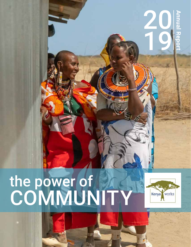# the power of **COMMUNITY**



20 19 **Annual Report**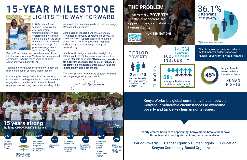**2** out of **3** Kenyan females POVERTY

don't have access to menstrual products every month

PERIOD

**SUSTAINABLE EVELOPM** GOALS



### **THE PROBLEM**

Fundamentally, **POVERTY** is a **denial** of **choices** and **opportunities**, a **violation** of **human dignity**.

**- UNITED NATIONS**

Period Poverty | Gender Equity & Human Rights | Education Kenyan Community-Based Organizations

Kenya Works is a global community that empowers Kenyans in vulnerable circumstances to overcome poverty and tackle key human rights issues.



Poverty creates barriers to opportunity. Kenya Works breaks them down through locally run, high-impact programs that address:

In 2004, Mary Stusek founded Kenya Works after witnessing unthinkable poverty and overcrowding in Kenyan schools. Built on the belief that each of us can—and *must*—be a catalyst for positive change in our world, in our 15 years,

Kenya Works has grown from the power of one into the power of many. We have become a global community united in the mission of building opportunity with dignity for all.

Tapping into the power of community is both the mission and result of Kenya Works' actions.

Our strength in Kenya builds from our amazing collaboration on the ground—our passionate team, engaged communities and community-based organizations. All bring deep understanding of the

issues and the solutions needed to deliver change throughout their country.

On this side of the globe, we have an equally committed community of volunteers, advocates and donors who support those efforts on the ground. As a result, our programs, foot-print and capacity to enact change have grown tremendously.

Dignity, worth and justice are human rights that belong to all—no matter where we're born or live. Nelson Mandela once said, **"Overcoming poverty is not a gesture of charity. It is an act of justice. It is the protection of a fundamental human right, the right to dignity and a decent life."**

This is our pursuit, purpose and passion. When we work together, poverty is no match.

Julie Seljally-Schmidt

# **15-YEAR MILESTONE** LIGHTS THE WAY FORWARD



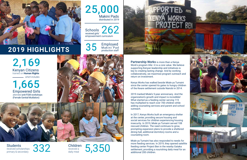Partnership Works is more than a Kenya Work's program title—it is a core value. We believe supporting Kenyan leadership and initiatives is key to creating lasting change. And by working collaboratively, we maximize program outreach and return on investment.

Kenya Works has walked beside Miale ya Tumaini since the center opened its gates to hungry children of the Kware settlement outside Nairobi in 2014.

2019 marked Miale's 5-year anniversary. And the organization's growth and impact is incredible! What started as a feeding center serving 115 has multiplied to reach over 700 children while adding counseling services and parent and school outreach.

Schools<br>received girls' 262 empowerment curriculum

35 Employed Makini Pad production staff

Students<br>received scholarships<br>primary & secondary received scholarships

**Children**<br>received a daily meal

**5,350** 



In 2017, Kenya Works built an emergency shelter at the center, providing secure housing and social services for children experiencing housing insecurity. In 2019, Miale ya Tumaini served 108 rescued children. The need continues to grow, prompting expansion plans to provide a sheltered dining hall, additional dormitory rooms and a counseling room.

Miale ya Tumaini has also responded to needs for more feeding services. In 2019, they opened satellite feeding center Project Ben in the nearby Gataka settlement, providing a nourishing daily meal for an additional 200 children.





25,000 Makini Pads

distributed in 2019



# **2019 HIGHLIGHTS**

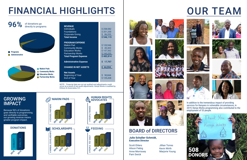# OUR TEAM















In addition to the tremendous impact of providing services for Kenyans in vulnerable circumstances, in 2019, Kenya Works programming also contributed to the employment of 53 people.

Jillian Torres Kevin Wirth Kevin Wirth<br>Marjorie Young 508

#### BOARD of DIRECTORS

#### **Julie Schaller-Schmidt, Executive Director**

Scott Ehlers Alison Fiebig Anne Morrissey Pam Swick



#### GROWING **IMPACT**

| <b>REVENUE</b><br><b>Individuals</b><br><b>Foundations</b><br><b>Corporate Giving</b><br><b>Total Income</b>                                         | \$258,582<br>\$201,200<br>\$86,333<br>\$546,115              |
|------------------------------------------------------------------------------------------------------------------------------------------------------|--------------------------------------------------------------|
| <b>PROGRAM EXPENSE</b><br>Makini Pad<br><b>Community Works</b><br><b>Education Works</b><br><b>Partnership Works</b><br><b>Total Program Expense</b> | \$120,946<br>\$45,303<br>\$157,362<br>\$160,203<br>\$483,814 |
| <b>Administrative Expense</b><br><b>CHANGE IN NET ASSETS</b>                                                                                         | Ś<br>17,707<br>\$44,594                                      |
| <b>Net Assets</b><br>Beginning of Year<br><b>End of Year</b>                                                                                         | \$90,844<br>\$135,438                                        |

NOTE: Financial data are not yet audited and adjustments could occur as a result of any audit adjustments. Kenya Works is audited by Erikson & Associates, S.C.



Because 96% of donations goes directly to programming and verifiable outcomes, our growing revenue means greater program impact.

# FINANCIAL HIGHLIGHTS



























# 96% of donations go directly to programs **Programs Administrative**